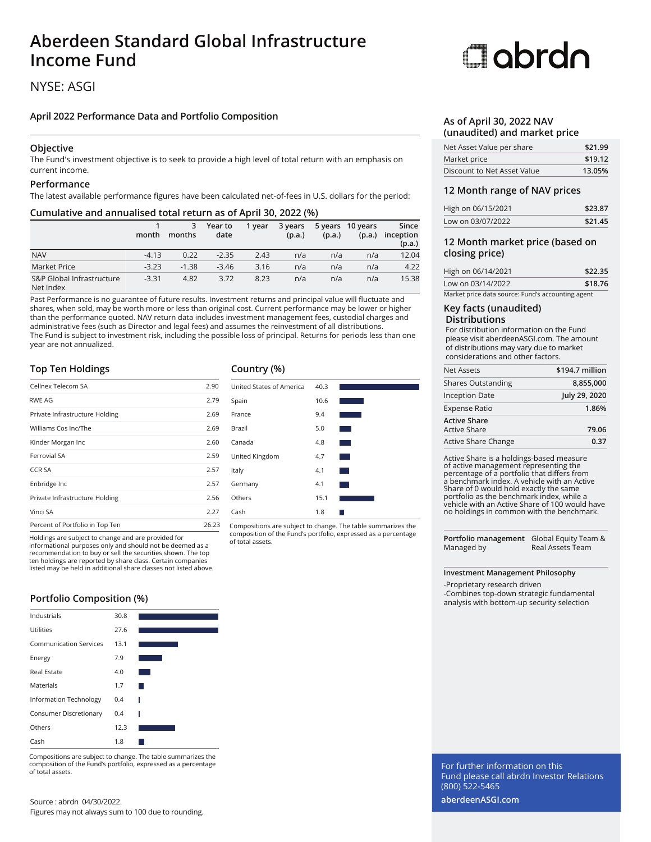## **Aberdeen Standard Global Infrastructure Income Fund**

### NYSE: ASGI

### **April 2022 Performance Data and Portfolio Composition**

### **Objective**

The Fund's investment objective is to seek to provide a high level of total return with an emphasis on current income.

### **Performance**

The latest available performance figures have been calculated net-of-fees in U.S. dollars for the period:

### **Cumulative and annualised total return as of April 30, 2022 (%)**

|                                        | month   | 3<br>months | Year to<br>date | 1 vear | 3 years<br>(p.a.) | (p.a.) | 5 years 10 years<br>(p.a.) | Since<br>inception<br>(p.a.) |
|----------------------------------------|---------|-------------|-----------------|--------|-------------------|--------|----------------------------|------------------------------|
| <b>NAV</b>                             | $-4.13$ | 0.22        | $-2.35$         | 2.43   | n/a               | n/a    | n/a                        | 12.04                        |
| Market Price                           | $-3.23$ | $-1.38$     | $-3.46$         | 3.16   | n/a               | n/a    | n/a                        | 4.22                         |
| S&P Global Infrastructure<br>Net Index | $-3.31$ | 4.82        | 3.72            | 8.23   | n/a               | n/a    | n/a                        | 15.38                        |

Past Performance is no guarantee of future results. Investment returns and principal value will fluctuate and shares, when sold, may be worth more or less than original cost. Current performance may be lower or higher than the performance quoted. NAV return data includes investment management fees, custodial charges and administrative fees (such as Director and legal fees) and assumes the reinvestment of all distributions. The Fund is subject to investment risk, including the possible loss of principal. Returns for periods less than one year are not annualized.

### **Top Ten Holdings**

| Percent of Portfolio in Top Ten | 26.23 |
|---------------------------------|-------|
| Vinci SA                        | 2.27  |
| Private Infrastructure Holding  | 2.56  |
| Enbridge Inc                    | 2.57  |
| <b>CCR SA</b>                   | 2.57  |
| Ferrovial SA                    | 2.59  |
| Kinder Morgan Inc               | 2.60  |
| Williams Cos Inc/The            | 2.69  |
| Private Infrastructure Holding  | 2.69  |
| RWE AG                          | 2.79  |
| Cellnex Telecom SA              | 2.90  |

Holdings are subject to change and are provided for

informational purposes only and should not be deemed as a recommendation to buy or sell the securities shown. The top ten holdings are reported by share class. Certain companies listed may be held in additional share classes not listed above.

### **Portfolio Composition (%)**

| Industrials                   | 30.8 |  |
|-------------------------------|------|--|
| Utilities                     | 27.6 |  |
| <b>Communication Services</b> | 13.1 |  |
| Energy                        | 7.9  |  |
| <b>Real Estate</b>            | 4.0  |  |
| Materials                     | 1.7  |  |
| <b>Information Technology</b> | 0.4  |  |
| Consumer Discretionary        | 0.4  |  |
| Others                        | 12.3 |  |
| Cash                          | 1.8  |  |

Compositions are subject to change. The table summarizes the composition of the Fund's portfolio, expressed as a percentage of total assets.

### **Country (%)**



Compositions are subject to change. The table summarizes the composition of the Fund's portfolio, expressed as a percentage of total assets.

# Oobrdo

### **As of April 30, 2022 NAV (unaudited) and market price**

| Net Asset Value per share   | \$21.99 |
|-----------------------------|---------|
| Market price                | \$19.12 |
| Discount to Net Asset Value | 13.05%  |

### **12 Month range of NAV prices**

| High on 06/15/2021 | \$23.87 |
|--------------------|---------|
| Low on 03/07/2022  | \$21.45 |

### **12 Month market price (based on closing price)**

| High on 06/14/2021                                | \$22.35 |
|---------------------------------------------------|---------|
| Low on 03/14/2022                                 | \$18.76 |
| Market price data source: Fund's accounting agent |         |

### **Key facts (unaudited) Distributions**

For distribution information on the Fund please visit aberdeenASGI.com. The amount of distributions may vary due to market considerations and other factors.

| Net Assets                          | \$194.7 million |
|-------------------------------------|-----------------|
| <b>Shares Outstanding</b>           | 8,855,000       |
| <b>Inception Date</b>               | July 29, 2020   |
| <b>Expense Ratio</b>                | 1.86%           |
| <b>Active Share</b><br>Active Share | 79.06           |
| Active Share Change                 | 0.37            |

Active Share is a holdings-based measure of active management representing the percentage of a portfolio that differs from a benchmark index. A vehicle with an Active Share of 0 would hold exactly the same portfolio as the benchmark index, while a vehicle with an Active Share of 100 would have no holdings in common with the benchmark.

**Portfolio management** Global Equity Team & Managed by Real Assets Team

### **Investment Management Philosophy**

-Proprietary research driven -Combines top-down strategic fundamental analysis with bottom-up security selection

For further information on this Fund please call abrdn Investor Relations (800) 522-5465

**aberdeenASGI.com**